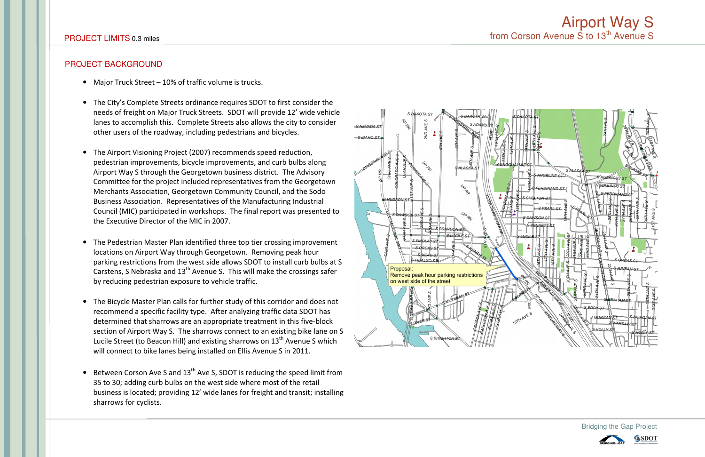## **PROJECT BACKGROUND**

- Major Truck Street 10% of traffic volume is trucks.
- The City's Complete Streets ordinance requires SDOT to first consider the needs of freight on Major Truck Streets. SDOT will provide 12' wide vehicle lanes to accomplish this. Complete Streets also allows the city to consider other users of the roadway, including pedestrians and bicycles.
- The Airport Visioning Project (2007) recommends speed reduction, pedestrian improvements, bicycle improvements, and curb bulbs along Airport Way S through the Georgetown business district. The Advisory Committee for the project included representatives from the Georgetown Merchants Association, Georgetown Community Council, and the Sodo Business Association. Representatives of the Manufacturing Industrial Council (MIC) participated in workshops. The final report was presented to the Executive Director of the MIC in 2007.
- The Pedestrian Master Plan identified three top tier crossing improvement locations on Airport Way through Georgetown. Removing peak hour parking restrictions from the west side allows SDOT to install curb bulbs at S Carstens, S Nebraska and 13<sup>th</sup> Avenue S. This will make the crossings safer by reducing pedestrian exposure to vehicle traffic.
- The Bicycle Master Plan calls for further study of this corridor and does not recommend a specific facility type. After analyzing traffic data SDOT has determined that sharrows are an appropriate treatment in this five-block section of Airport Way S. The sharrows connect to an existing bike lane on S Lucile Street (to Beacon Hill) and existing sharrows on 13<sup>th</sup> Avenue S which will connect to bike lanes being installed on Ellis Avenue S in 2011.
- Between Corson Ave S and  $13<sup>th</sup>$  Ave S, SDOT is reducing the speed limit from 35 to 30; adding curb bulbs on the west side where most of the retail business is located; providing 12' wide lanes for freight and transit; installing sharrows for cyclists.



## Airport Way S<br>from Corson Avenue S to 13<sup>th</sup> Avenue S